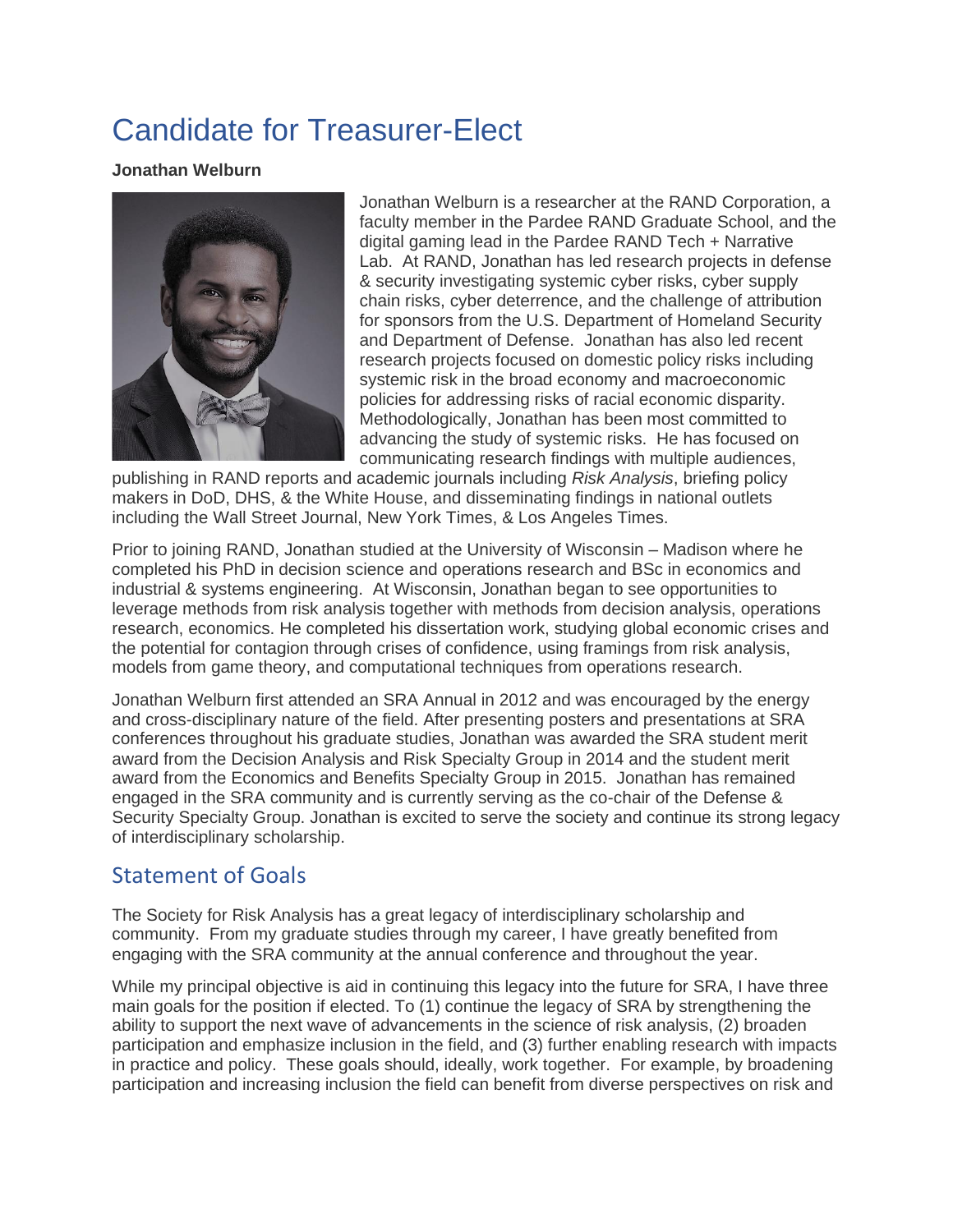## Candidate for Treasurer-Elect

## **Jonathan Welburn**



Jonathan Welburn is a researcher at the RAND Corporation, a faculty member in the Pardee RAND Graduate School, and the digital gaming lead in the Pardee RAND Tech + Narrative Lab. At RAND, Jonathan has led research projects in defense & security investigating systemic cyber risks, cyber supply chain risks, cyber deterrence, and the challenge of attribution for sponsors from the U.S. Department of Homeland Security and Department of Defense. Jonathan has also led recent research projects focused on domestic policy risks including systemic risk in the broad economy and macroeconomic policies for addressing risks of racial economic disparity. Methodologically, Jonathan has been most committed to advancing the study of systemic risks. He has focused on communicating research findings with multiple audiences,

publishing in RAND reports and academic journals including *Risk Analysis*, briefing policy makers in DoD, DHS, & the White House, and disseminating findings in national outlets including the Wall Street Journal, New York Times, & Los Angeles Times.

Prior to joining RAND, Jonathan studied at the University of Wisconsin – Madison where he completed his PhD in decision science and operations research and BSc in economics and industrial & systems engineering. At Wisconsin, Jonathan began to see opportunities to leverage methods from risk analysis together with methods from decision analysis, operations research, economics. He completed his dissertation work, studying global economic crises and the potential for contagion through crises of confidence, using framings from risk analysis, models from game theory, and computational techniques from operations research.

Jonathan Welburn first attended an SRA Annual in 2012 and was encouraged by the energy and cross-disciplinary nature of the field. After presenting posters and presentations at SRA conferences throughout his graduate studies, Jonathan was awarded the SRA student merit award from the Decision Analysis and Risk Specialty Group in 2014 and the student merit award from the Economics and Benefits Specialty Group in 2015. Jonathan has remained engaged in the SRA community and is currently serving as the co-chair of the Defense & Security Specialty Group. Jonathan is excited to serve the society and continue its strong legacy of interdisciplinary scholarship.

## Statement of Goals

The Society for Risk Analysis has a great legacy of interdisciplinary scholarship and community. From my graduate studies through my career, I have greatly benefited from engaging with the SRA community at the annual conference and throughout the year.

While my principal objective is aid in continuing this legacy into the future for SRA, I have three main goals for the position if elected. To (1) continue the legacy of SRA by strengthening the ability to support the next wave of advancements in the science of risk analysis, (2) broaden participation and emphasize inclusion in the field, and (3) further enabling research with impacts in practice and policy. These goals should, ideally, work together. For example, by broadening participation and increasing inclusion the field can benefit from diverse perspectives on risk and